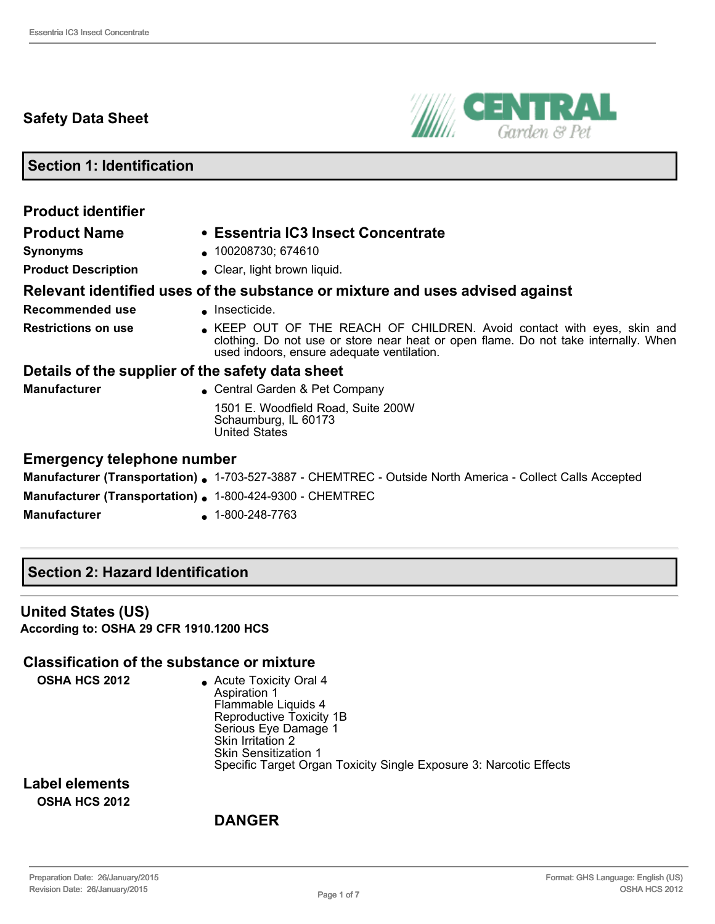# **Safety Data Sheet**



**Section 1: Identification**

| <b>Product identifier</b>                                 |                                                                                                                                                                                                             |  |
|-----------------------------------------------------------|-------------------------------------------------------------------------------------------------------------------------------------------------------------------------------------------------------------|--|
| <b>Product Name</b>                                       | • Essentria IC3 Insect Concentrate                                                                                                                                                                          |  |
| <b>Synonyms</b>                                           | • 100208730; 674610                                                                                                                                                                                         |  |
| <b>Product Description</b>                                | • Clear, light brown liquid.                                                                                                                                                                                |  |
|                                                           | Relevant identified uses of the substance or mixture and uses advised against                                                                                                                               |  |
| Recommended use                                           | $\blacksquare$ Insecticide.                                                                                                                                                                                 |  |
| <b>Restrictions on use</b>                                | • KEEP OUT OF THE REACH OF CHILDREN. Avoid contact with eyes, skin and<br>clothing. Do not use or store near heat or open flame. Do not take internally. When<br>used indoors, ensure adequate ventilation. |  |
| Details of the supplier of the safety data sheet          |                                                                                                                                                                                                             |  |
| <b>Manufacturer</b>                                       | • Central Garden & Pet Company                                                                                                                                                                              |  |
|                                                           | 1501 E. Woodfield Road, Suite 200W<br>Schaumburg, IL 60173<br><b>United States</b>                                                                                                                          |  |
| <b>Emergency telephone number</b>                         |                                                                                                                                                                                                             |  |
|                                                           | <b>Manufacturer (Transportation) .</b> 1-703-527-3887 - CHEMTREC - Outside North America - Collect Calls Accepted                                                                                           |  |
| Manufacturer (Transportation) . 1-800-424-9300 - CHEMTREC |                                                                                                                                                                                                             |  |

**Manufacturer** 1-800-248-7763

### **Section 2: Hazard Identification**

#### **United States (US) According to: OSHA 29 CFR 1910.1200 HCS**

#### **Classification of the substance or mixture**

**OSHA HCS 2012** <br>**e** Acute Toxicity Oral 4 Aspiration 1 Flammable Liquids 4 Reproductive Toxicity 1B Serious Eye Damage 1 Skin Irritation 2 Skin Sensitization 1 Specific Target Organ Toxicity Single Exposure 3: Narcotic Effects

**Label elements OSHA HCS 2012**

### **DANGER**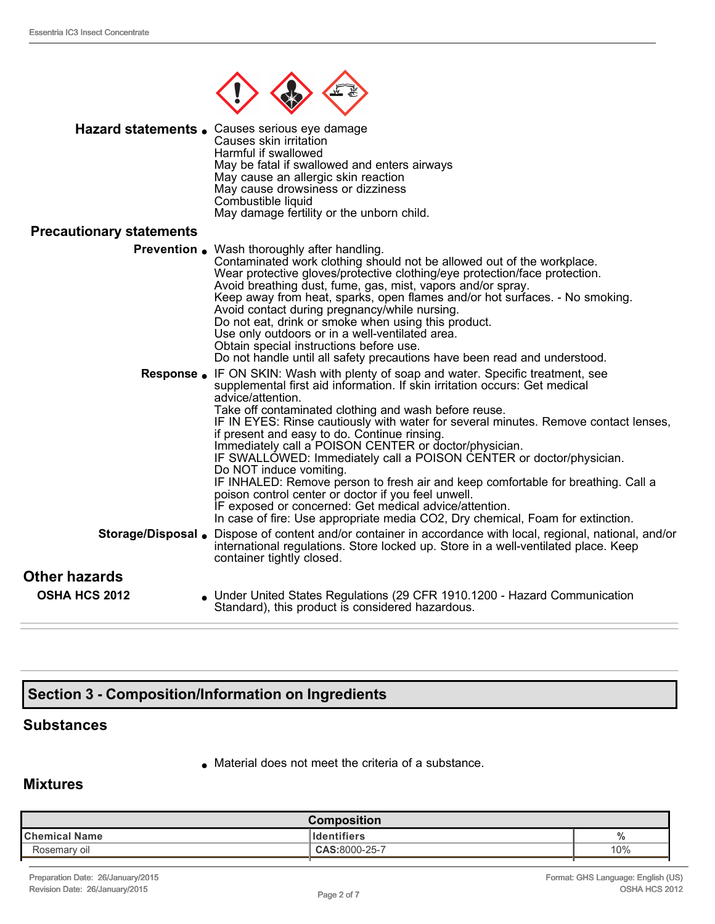

| Hazard statements . Causes serious eye damage<br>Causes skin irritation<br>Harmful if swallowed<br>May be fatal if swallowed and enters airways<br>May cause an allergic skin reaction<br>May cause drowsiness or dizziness<br>Combustible liquid<br>May damage fertility or the unborn child.                                                                                                                                                                                                                                                                                                                                                                                                                                                                                                                                |
|-------------------------------------------------------------------------------------------------------------------------------------------------------------------------------------------------------------------------------------------------------------------------------------------------------------------------------------------------------------------------------------------------------------------------------------------------------------------------------------------------------------------------------------------------------------------------------------------------------------------------------------------------------------------------------------------------------------------------------------------------------------------------------------------------------------------------------|
|                                                                                                                                                                                                                                                                                                                                                                                                                                                                                                                                                                                                                                                                                                                                                                                                                               |
| <b>Prevention</b> . Wash thoroughly after handling.<br>Contaminated work clothing should not be allowed out of the workplace.<br>Wear protective gloves/protective clothing/eye protection/face protection.<br>Avoid breathing dust, fume, gas, mist, vapors and/or spray.<br>Keep away from heat, sparks, open flames and/or hot surfaces. - No smoking.<br>Avoid contact during pregnancy/while nursing.<br>Do not eat, drink or smoke when using this product.<br>Use only outdoors or in a well-ventilated area.<br>Obtain special instructions before use.<br>Do not handle until all safety precautions have been read and understood.                                                                                                                                                                                  |
| IF ON SKIN: Wash with plenty of soap and water. Specific treatment, see<br>supplemental first aid information. If skin irritation occurs: Get medical<br>advice/attention.<br>Take off contaminated clothing and wash before reuse.<br>IF IN EYES: Rinse cautiously with water for several minutes. Remove contact lenses,<br>if present and easy to do. Continue rinsing.<br>Immediately call a POISON CENTER or doctor/physician.<br>IF SWALLOWED: Immediately call a POISON CENTER or doctor/physician.<br>Do NOT induce vomiting.<br>IF INHALED: Remove person to fresh air and keep comfortable for breathing. Call a<br>poison control center or doctor if you feel unwell.<br>IF exposed or concerned: Get medical advice/attention.<br>In case of fire: Use appropriate media CO2, Dry chemical, Foam for extinction. |
| Storage/Disposal .<br>Dispose of content and/or container in accordance with local, regional, national, and/or<br>international regulations. Store locked up. Store in a well-ventilated place. Keep<br>container tightly closed.                                                                                                                                                                                                                                                                                                                                                                                                                                                                                                                                                                                             |
|                                                                                                                                                                                                                                                                                                                                                                                                                                                                                                                                                                                                                                                                                                                                                                                                                               |
| • Under United States Regulations (29 CFR 1910.1200 - Hazard Communication<br>Standard), this product is considered hazardous.                                                                                                                                                                                                                                                                                                                                                                                                                                                                                                                                                                                                                                                                                                |
|                                                                                                                                                                                                                                                                                                                                                                                                                                                                                                                                                                                                                                                                                                                                                                                                                               |

# **Section 3 Composition/Information on Ingredients**

### **Substances**

 $\bullet$  Material does not meet the criteria of a substance.

### **Mixtures**

| <b>Composition</b>   |                    |     |
|----------------------|--------------------|-----|
| <b>Chemical Name</b> | <b>Identifiers</b> |     |
| Rosemary oil         | CAS:8000-25-7      | 10% |
|                      |                    |     |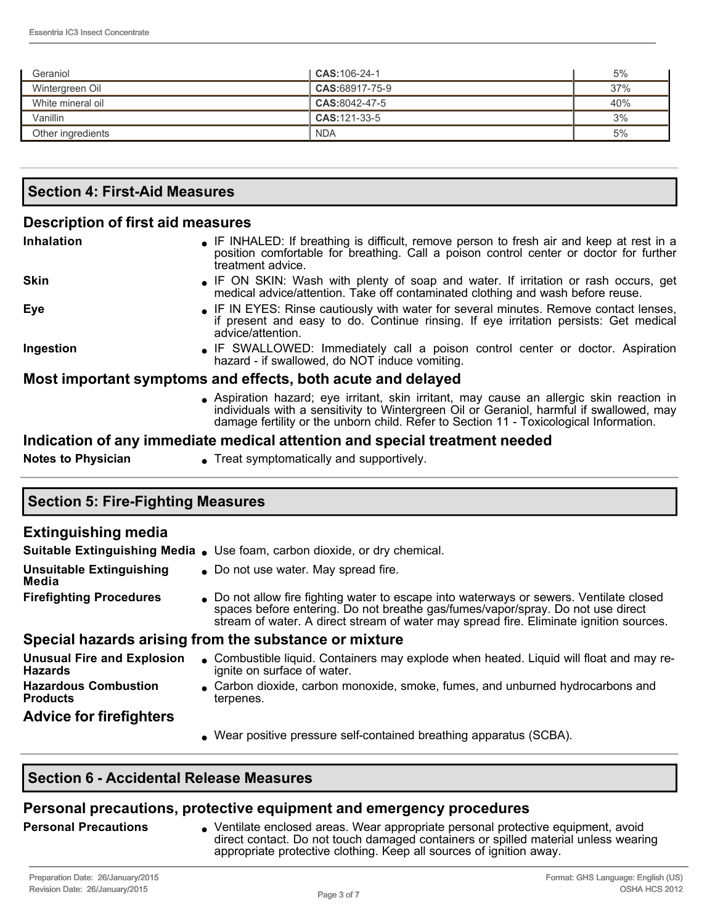| Geraniol          | <b>CAS:</b> 106-24-1 | 5%  |
|-------------------|----------------------|-----|
| Wintergreen Oil   | $CAS:68917-75-9$     | 37% |
| White mineral oil | CAS:8042-47-5        | 40% |
| Vanillin          | CAS: 121-33-5        | 3%  |
| Other ingredients | <b>NDA</b>           | 5%  |

| <b>Section 4: First-Aid Measures</b> |  |
|--------------------------------------|--|
|                                      |  |

#### **Description of first aid measures**

| <b>Inhalation</b>         | • IF INHALED: If breathing is difficult, remove person to fresh air and keep at rest in a<br>position comfortable for breathing. Call a poison control center or doctor for further<br>treatment advice.                                                                     |
|---------------------------|------------------------------------------------------------------------------------------------------------------------------------------------------------------------------------------------------------------------------------------------------------------------------|
| <b>Skin</b>               | • IF ON SKIN: Wash with plenty of soap and water. If irritation or rash occurs, get<br>medical advice/attention. Take off contaminated clothing and wash before reuse.                                                                                                       |
| Eye                       | • IF IN EYES: Rinse cautiously with water for several minutes. Remove contact lenses,<br>if present and easy to do. Continue rinsing. If eye irritation persists: Get medical<br>advice/attention.                                                                           |
| Ingestion                 | • IF SWALLOWED: Immediately call a poison control center or doctor. Aspiration<br>hazard - if swallowed, do NOT induce vomiting.                                                                                                                                             |
|                           | Most important symptoms and effects, both acute and delayed                                                                                                                                                                                                                  |
|                           | Aspiration hazard; eye irritant, skin irritant, may cause an allergic skin reaction in<br>individuals with a sensitivity to Wintergreen Oil or Geraniol, harmful if swallowed, may<br>damage fertility or the unborn child. Refer to Section 11 - Toxicological Information. |
|                           | Indication of any immediate medical attention and special treatment needed                                                                                                                                                                                                   |
| <b>Notes to Physician</b> | • Treat symptomatically and supportively.                                                                                                                                                                                                                                    |
|                           |                                                                                                                                                                                                                                                                              |

# **Section 5: Fire-Fighting Measures**

| <b>Extinguishing media</b>                          |                                                                                                                                                                                                                                                                      |
|-----------------------------------------------------|----------------------------------------------------------------------------------------------------------------------------------------------------------------------------------------------------------------------------------------------------------------------|
|                                                     | Suitable Extinguishing Media . Use foam, carbon dioxide, or dry chemical.                                                                                                                                                                                            |
| <b>Unsuitable Extinguishing</b><br>Media            | • Do not use water. May spread fire.                                                                                                                                                                                                                                 |
| <b>Firefighting Procedures</b>                      | • Do not allow fire fighting water to escape into waterways or sewers. Ventilate closed<br>spaces before entering. Do not breathe gas/fumes/vapor/spray. Do not use direct<br>stream of water. A direct stream of water may spread fire. Eliminate ignition sources. |
|                                                     | Special hazards arising from the substance or mixture                                                                                                                                                                                                                |
| <b>Unusual Fire and Explosion</b><br><b>Hazards</b> | • Combustible liquid. Containers may explode when heated. Liquid will float and may re-<br>ignite on surface of water.                                                                                                                                               |
| <b>Hazardous Combustion</b><br><b>Products</b>      | • Carbon dioxide, carbon monoxide, smoke, fumes, and unburned hydrocarbons and<br>terpenes.                                                                                                                                                                          |
| <b>Advice for firefighters</b>                      |                                                                                                                                                                                                                                                                      |
|                                                     | . Wear positive pressure self-contained breathing apparatus (SCBA).                                                                                                                                                                                                  |

### **Section 6 Accidental Release Measures**

## **Personal precautions, protective equipment and emergency procedures**

**Personal Precautions** ventilate enclosed areas. Wear appropriate personal protective equipment, avoid direct contact. Do not touch damaged containers or spilled material unless wearing appropriate protective clothing. Keep all sources of ignition away.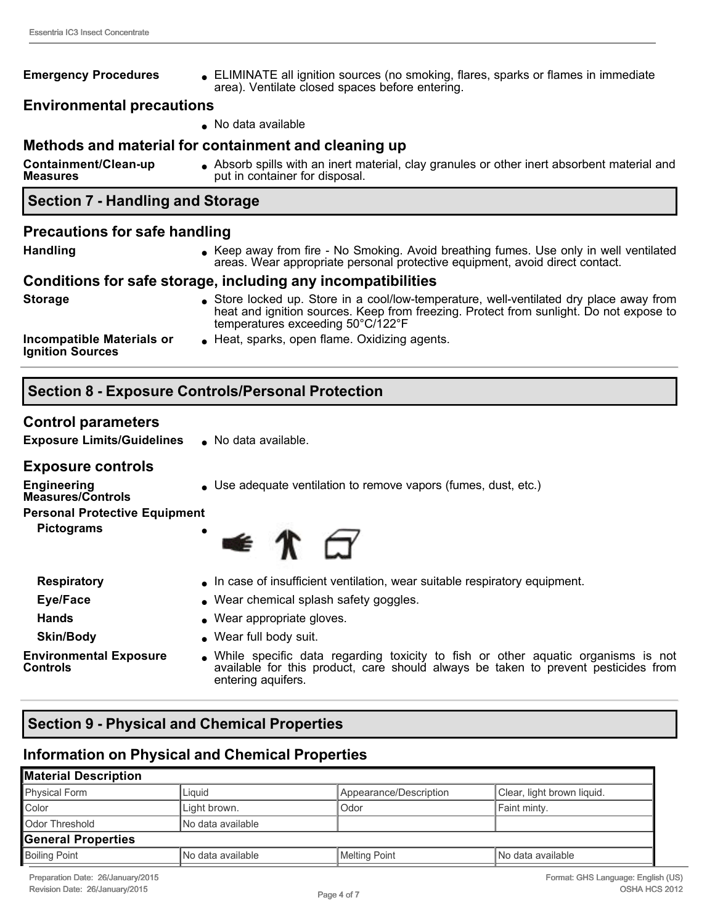#### **Emergency Procedures** . ELIMINATE all ignition sources (no smoking, flares, sparks or flames in immediate area). Ventilate closed spaces before entering.

#### **Environmental precautions**

• No data available

### **Methods and material for containment and cleaning up**

**Containment/Clean-up Measures** <sup>l</sup> Absorb spills with an inert material, clay granules or other inert absorbent material and put in container for disposal.

## **Section 7 Handling and Storage**

#### **Precautions for safe handling**

| <b>Handling</b>                                             | Keep away from fire - No Smoking. Avoid breathing fumes. Use only in well ventilated<br>areas. Wear appropriate personal protective equipment, avoid direct contact.                                                 |
|-------------------------------------------------------------|----------------------------------------------------------------------------------------------------------------------------------------------------------------------------------------------------------------------|
|                                                             | Conditions for safe storage, including any incompatibilities                                                                                                                                                         |
| <b>Storage</b>                                              | Store locked up. Store in a cool/low-temperature, well-ventilated dry place away from<br>heat and ignition sources. Keep from freezing. Protect from sunlight. Do not expose to<br>temperatures exceeding 50°C/122°F |
| <b>Incompatible Materials or</b><br><b>Ignition Sources</b> | Heat, sparks, open flame. Oxidizing agents.                                                                                                                                                                          |

### **Section 8 Exposure Controls/Personal Protection**

#### **Control parameters**

**Exposure Limits/Guidelines** . No data available.

#### **Exposure controls**

**Engineering** 

**.** Use adequate ventilation to remove vapors (fumes, dust, etc.)

#### **Personal Protective Equipment**

**Pictograms** 

**Measures/Controls**



- 
- 
- 
- 

**Environmental Exposure Controls**



- **Respiratory li** In case of insufficient ventilation, wear suitable respiratory equipment.
- **Eye/Face lack l** Wear chemical splash safety goggles.
- **Hands lands lands lands lands lands lands lands lands lands lands lands lands lands lands lands lands lands lands lands lands lands lands lands lands lands lands lands**
- **Skin/Body in the Skin/Body l** Wear full body suit.
	- While specific data regarding toxicity to fish or other aquatic organisms is not available for this product, care should always be taken to prevent pesticides from entering aquifers.

### **Section 9 Physical and Chemical Properties**

# **Information on Physical and Chemical Properties**

#### **Material Description**  Physical Form **Liquid** Liquid **Appearance/Description** Clear, light brown liquid. Color **Light brown.** Color **Faint minty.** Color **Faint minty.** Odor Threshold **No data available General Properties**  Boiling Point **Note 1 Accord Accord Accord Accord Accord Accord Accord Accord Accord Accord Accord Accord Accord Accord Accord Accord Accord Accord Accord Accord Accord Accord Accord Accord Accord Accord Accord Accord Acco**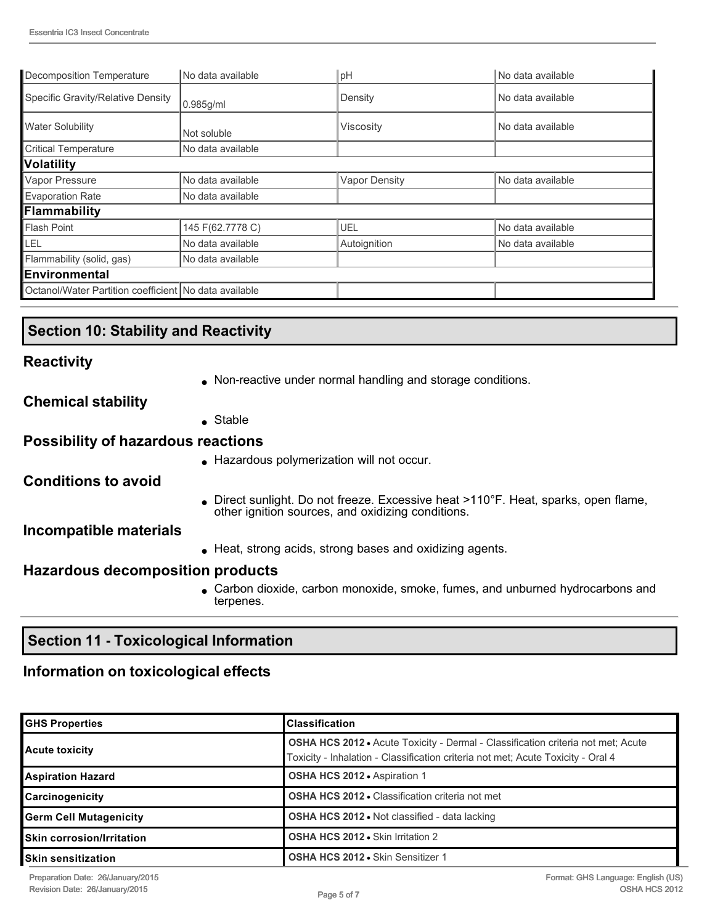| Decomposition Temperature                             | No data available | pH                   | No data available |
|-------------------------------------------------------|-------------------|----------------------|-------------------|
| Specific Gravity/Relative Density                     | 0.985g/ml         | Density              | No data available |
| <b>Water Solubility</b>                               | Not soluble       | <b>Viscosity</b>     | No data available |
| <b>Critical Temperature</b>                           | No data available |                      |                   |
| <b>Volatility</b>                                     |                   |                      |                   |
| Vapor Pressure                                        | No data available | <b>Vapor Density</b> | No data available |
| <b>Evaporation Rate</b>                               | No data available |                      |                   |
| Flammability                                          |                   |                      |                   |
| Flash Point                                           | 145 F(62.7778 C)  | UEL                  | No data available |
| LEL                                                   | No data available | Autoignition         | No data available |
| Flammability (solid, gas)                             | No data available |                      |                   |
| Environmental                                         |                   |                      |                   |
| Octanol/Water Partition coefficient No data available |                   |                      |                   |

# **Section 10: Stability and Reactivity**

### **Reactivity**

• Non-reactive under normal handling and storage conditions.

**Chemical stability**

 $S$ table

### **Possibility of hazardous reactions**

**.** Hazardous polymerization will not occur.

**Conditions to avoid**

• Direct sunlight. Do not freeze. Excessive heat >110°F. Heat, sparks, open flame, other ignition sources, and oxidizing conditions.

#### **Incompatible materials**

 $\bullet$  Heat, strong acids, strong bases and oxidizing agents.

#### **Hazardous decomposition products**

• Carbon dioxide, carbon monoxide, smoke, fumes, and unburned hydrocarbons and terpenes.

## **Section 11 - Toxicological Information**

# **Information on toxicological effects**

| <b>GHS Properties</b>         | <b>Classification</b>                                                                                                                                                       |
|-------------------------------|-----------------------------------------------------------------------------------------------------------------------------------------------------------------------------|
| <b>Acute toxicity</b>         | <b>OSHA HCS 2012 •</b> Acute Toxicity - Dermal - Classification criteria not met; Acute<br>Toxicity - Inhalation - Classification criteria not met; Acute Toxicity - Oral 4 |
| <b>Aspiration Hazard</b>      | OSHA HCS 2012 . Aspiration 1                                                                                                                                                |
| Carcinogenicity               | <b>OSHA HCS 2012 • Classification criteria not met</b>                                                                                                                      |
| <b>Germ Cell Mutagenicity</b> | <b>OSHA HCS 2012 • Not classified - data lacking</b>                                                                                                                        |
| Skin corrosion/Irritation     | OSHA HCS 2012 . Skin Irritation 2                                                                                                                                           |
| <b>Skin sensitization</b>     | OSHA HCS 2012 · Skin Sensitizer 1                                                                                                                                           |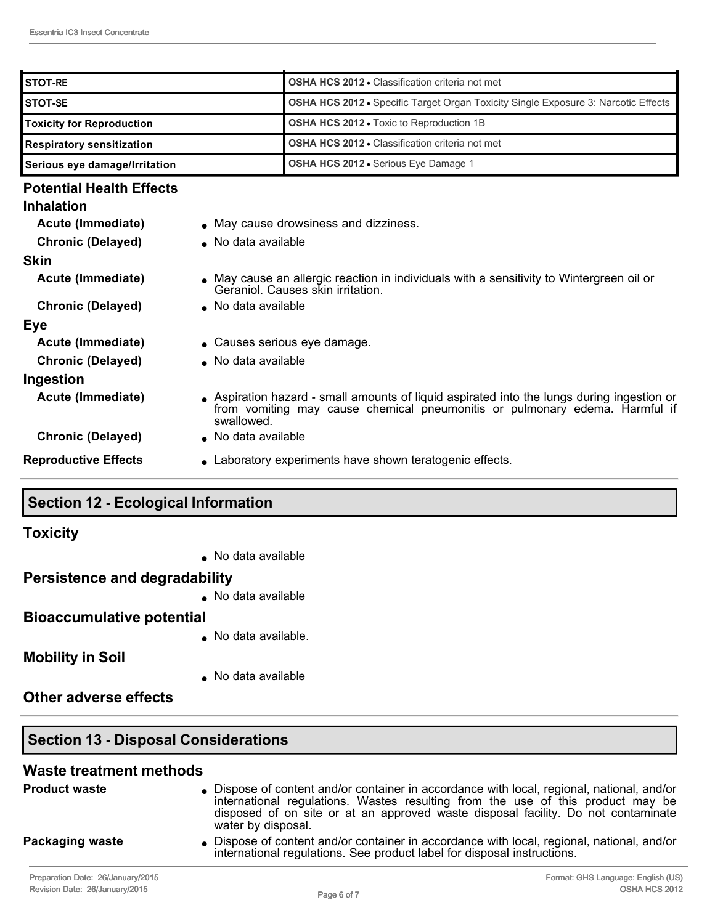| <b>ISTOT-RE</b>                  | <b>OSHA HCS 2012 • Classification criteria not met</b>                                    |  |
|----------------------------------|-------------------------------------------------------------------------------------------|--|
| <b>ISTOT-SE</b>                  | <b>OSHA HCS 2012 •</b> Specific Target Organ Toxicity Single Exposure 3: Narcotic Effects |  |
| <b>Toxicity for Reproduction</b> | <b>OSHA HCS 2012 - Toxic to Reproduction 1B</b>                                           |  |
| <b>Respiratory sensitization</b> | <b>OSHA HCS 2012 • Classification criteria not met</b>                                    |  |
| Serious eye damage/Irritation    | <b>OSHA HCS 2012 •</b> Serious Eye Damage 1                                               |  |

#### **Potential Health Effects**

| <b>Inhalation</b>           |                                                                                                                                                                                         |
|-----------------------------|-----------------------------------------------------------------------------------------------------------------------------------------------------------------------------------------|
| Acute (Immediate)           | • May cause drowsiness and dizziness.                                                                                                                                                   |
| <b>Chronic (Delayed)</b>    | • No data available                                                                                                                                                                     |
| <b>Skin</b>                 |                                                                                                                                                                                         |
| Acute (Immediate)           | • May cause an allergic reaction in individuals with a sensitivity to Wintergreen oil or<br>Geraniol. Causes skin irritation.                                                           |
| <b>Chronic (Delayed)</b>    | • No data available                                                                                                                                                                     |
| <b>Eye</b>                  |                                                                                                                                                                                         |
| Acute (Immediate)           | $\bullet$ Causes serious eye damage.                                                                                                                                                    |
| <b>Chronic (Delayed)</b>    | • No data available                                                                                                                                                                     |
| Ingestion                   |                                                                                                                                                                                         |
| Acute (Immediate)           | • Aspiration hazard - small amounts of liquid aspirated into the lungs during ingestion or<br>from vomiting may cause chemical pneumonitis or pulmonary edema. Harmful if<br>swallowed. |
| <b>Chronic (Delayed)</b>    | • No data available                                                                                                                                                                     |
| <b>Reproductive Effects</b> | • Laboratory experiments have shown teratogenic effects.                                                                                                                                |
|                             |                                                                                                                                                                                         |

# **Section 12 Ecological Information**

**Toxicity**

 $\bullet$  No data available

### **Persistence and degradability**

 $\bullet$  No data available

### **Bioaccumulative potential**

 $\bullet$  No data available.

**Mobility in Soil**

 $\bullet$  No data available

**Other adverse effects**

# **Section 13 - Disposal Considerations**

#### **Waste treatment methods**

| <b>Product waste</b>              | • Dispose of content and/or container in accordance with local, regional, national, and/or<br>international regulations. Wastes resulting from the use of this product may be<br>disposed of on site or at an approved waste disposal facility. Do not contaminate<br>water by disposal. |
|-----------------------------------|------------------------------------------------------------------------------------------------------------------------------------------------------------------------------------------------------------------------------------------------------------------------------------------|
| <b>Packaging waste</b>            | • Dispose of content and/or container in accordance with local, regional, national, and/or<br>international regulations. See product label for disposal instructions.                                                                                                                    |
| Preparation Date: 26/January/2015 | Format: GHS Language: English (US)                                                                                                                                                                                                                                                       |